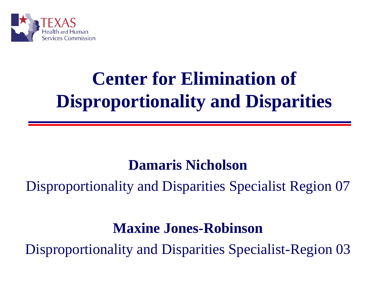

# **Center for Elimination of Disproportionality and Disparities**

#### **Damaris Nicholson**

Disproportionality and Disparities Specialist Region 07

#### **Maxine Jones-Robinson**

Disproportionality and Disparities Specialist-Region 03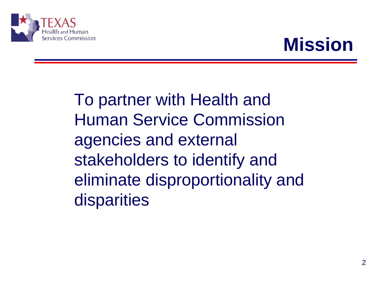

## **Mission**

To partner with Health and Human Service Commission agencies and external stakeholders to identify and eliminate disproportionality and disparities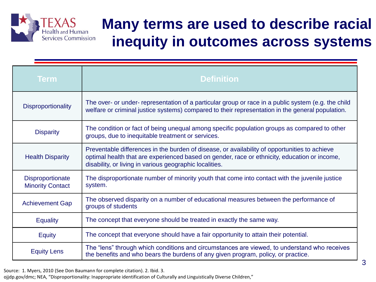

#### **Many terms are used to describe racial inequity in outcomes across systems**

| <b>Term</b>                                        | <b>Definition</b>                                                                                                                                                                                                                                        |
|----------------------------------------------------|----------------------------------------------------------------------------------------------------------------------------------------------------------------------------------------------------------------------------------------------------------|
| <b>Disproportionality</b>                          | The over- or under- representation of a particular group or race in a public system (e.g. the child<br>welfare or criminal justice systems) compared to their representation in the general population.                                                  |
| <b>Disparity</b>                                   | The condition or fact of being unequal among specific population groups as compared to other<br>groups, due to inequitable treatment or services.                                                                                                        |
| <b>Health Disparity</b>                            | Preventable differences in the burden of disease, or availability of opportunities to achieve<br>optimal health that are experienced based on gender, race or ethnicity, education or income,<br>disability, or living in various geographic localities. |
| <b>Disproportionate</b><br><b>Minority Contact</b> | The disproportionate number of minority youth that come into contact with the juvenile justice<br>system.                                                                                                                                                |
| <b>Achievement Gap</b>                             | The observed disparity on a number of educational measures between the performance of<br>groups of students                                                                                                                                              |
| <b>Equality</b>                                    | The concept that everyone should be treated in exactly the same way.                                                                                                                                                                                     |
| <b>Equity</b>                                      | The concept that everyone should have a fair opportunity to attain their potential.                                                                                                                                                                      |
| <b>Equity Lens</b>                                 | The "lens" through which conditions and circumstances are viewed, to understand who receives<br>the benefits and who bears the burdens of any given program, policy, or practice.                                                                        |

Source: 1. Myers, 2010 (See Don Baumann for complete citation). 2. Ibid. 3.

ojjdp.gov/dmc; NEA, "Disproportionality: Inappropriate identification of Culturally and Linguistically Diverse Children,"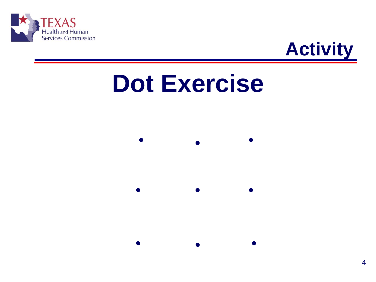



# **Dot Exercise**

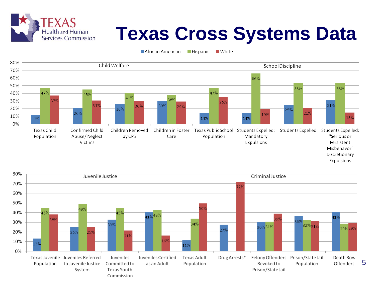

# **Texas Cross Systems Data**

Expulsions

African American Hispanic White



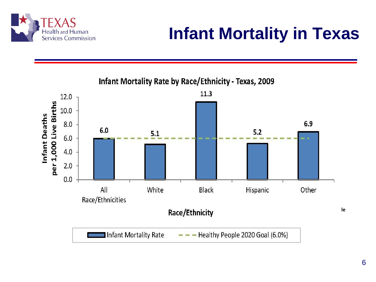

## **Infant Mortality in Texas**

**Infant Mortality Rate by Race/Ethnicity - Texas, 2009** 11.3 12.0 per 1,000 Live Births 10.0 Infant Deaths 8.0 6.9  $6.0$  $5.2$  $5.1$  $6.0$ 4.0  $2.0$  $0.0$ All White Black Other Hispanic Race/Ethnicities  **Healthy People**  Race/Ethnicity Infant Mortality Rate Healthy People 2020 Goal (6.0%)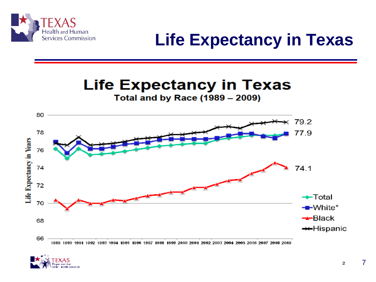

### **Life Expectancy in Texas**

#### **Life Expectancy in Texas**

**Total and by Race (1989 - 2009)** 





2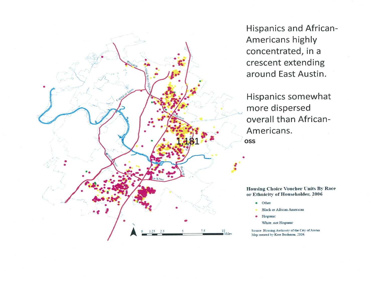Hispanics and African-Americans highly concentrated, in a crescent extending around East Austin.

Hispanics somewhat more dispersed overall than African-Americans.

**Housing Choice Voucher Units By Race** or Ethnicity of Householder, 2006

- $\bullet$  Other
- **Black or African American**
- · Hispanic
	- White, not Hispanic

Source: Housing Authority of the City of Austin Map created by Kate Bushman, 2006.

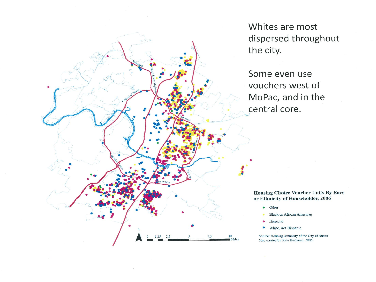Whites are most dispersed throughout the city.

Some even use vouchers west of MoPac, and in the central core.

**Housing Choice Voucher Units By Race** or Ethnicity of Householder, 2006

- $\bullet$  Other
- **Black or African American**
- · Hispanic
- · White, not Hispanic

Source: Housing Authority of the City of Austin Map created by Kate Bushman, 2006.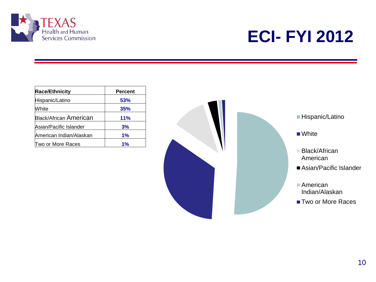

### **ECI- FYI 2012**

| Race/Ethnicity                | Percent |
|-------------------------------|---------|
| Hispanic/Latino               | 53%     |
| White                         | 35%     |
| <b>Black/African American</b> | 11%     |
| Asian/Pacific Islander        | 3%      |
| American Indian/Alaskan       | 1%      |
| Two or More Races             | 1%      |

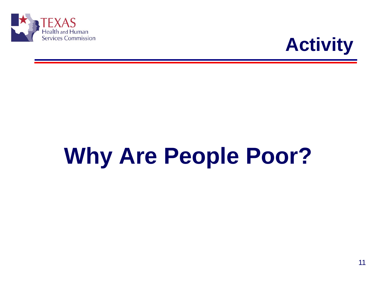



# **Why Are People Poor?**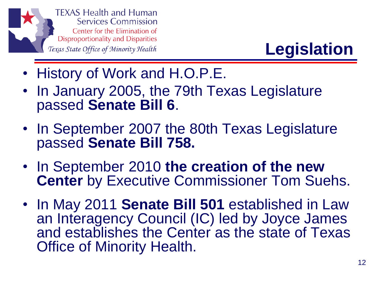

### **Legislation**

- History of Work and H.O.P.E.
- In January 2005, the 79th Texas Legislature passed **Senate Bill 6**.
- In September 2007 the 80th Texas Legislature passed **Senate Bill 758.**
- In September 2010 **the creation of the new Center** by Executive Commissioner Tom Suehs.
- In May 2011 **Senate Bill 501** established in Law an Interagency Council (IC) led by Joyce James and establishes the Center as the state of Texas Office of Minority Health.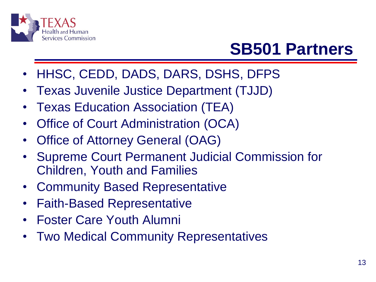

### **SB501 Partners**

- HHSC, CEDD, DADS, DARS, DSHS, DFPS
- Texas Juvenile Justice Department (TJJD)
- Texas Education Association (TEA)
- Office of Court Administration (OCA)
- **Office of Attorney General (OAG)**
- Supreme Court Permanent Judicial Commission for Children, Youth and Families
- Community Based Representative
- Faith-Based Representative
- Foster Care Youth Alumni
- Two Medical Community Representatives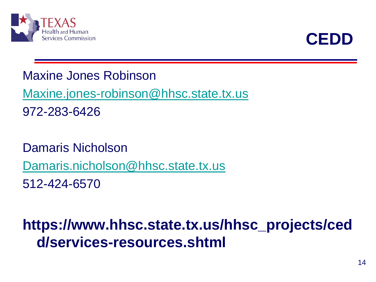



Maxine Jones Robinson

[Maxine.jones-robinson@hhsc.state.tx.us](mailto:Maxine.jones-robinson@hhsc.state.tx.us)

972-283-6426

Damaris Nicholson [Damaris.nicholson@hhsc.state.tx.us](mailto:Damaris.nicholson@hhsc.state.tx.us) 512-424-6570

**https://www.hhsc.state.tx.us/hhsc\_projects/ced d/services-resources.shtml**